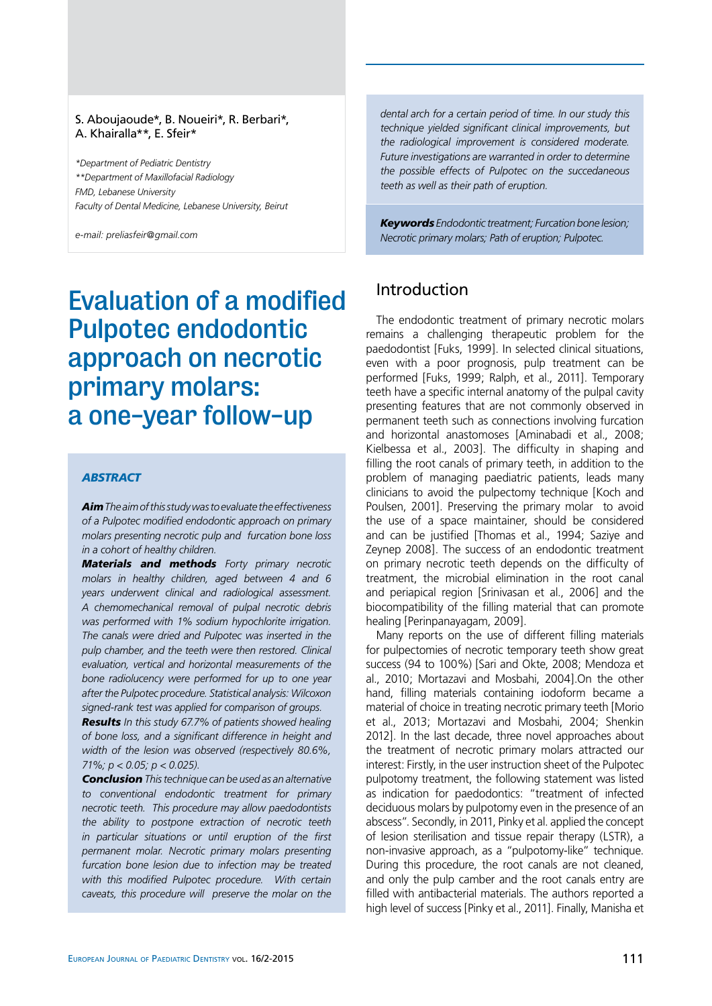#### S. Aboujaoude\*, B. Noueiri\*, R. Berbari\*, A. Khairalla\*\*, E. Sfeir\*

*\*Department of Pediatric Dentistry \*\*Department of Maxillofacial Radiology FMD, Lebanese University Faculty of Dental Medicine, Lebanese University, Beirut*

*e-mail: preliasfeir@gmail.com*

# Evaluation of a modified Pulpotec endodontic approach on necrotic primary molars: a one-year follow-up

#### *abstract*

*Aim The aim of this study was to evaluate the effectiveness of a Pulpotec modified endodontic approach on primary molars presenting necrotic pulp and furcation bone loss in a cohort of healthy children.* 

*Materials and methods Forty primary necrotic molars in healthy children, aged between 4 and 6 years underwent clinical and radiological assessment. A chemomechanical removal of pulpal necrotic debris was performed with 1% sodium hypochlorite irrigation. The canals were dried and Pulpotec was inserted in the pulp chamber, and the teeth were then restored. Clinical evaluation, vertical and horizontal measurements of the bone radiolucency were performed for up to one year after the Pulpotec procedure. Statistical analysis: Wilcoxon signed-rank test was applied for comparison of groups.* 

*Results In this study 67.7% of patients showed healing of bone loss, and a significant difference in height and width of the lesion was observed (respectively 80.6%, 71%; p < 0.05; p < 0.025).* 

*Conclusion This technique can be used as an alternative to conventional endodontic treatment for primary necrotic teeth. This procedure may allow paedodontists the ability to postpone extraction of necrotic teeth in particular situations or until eruption of the first permanent molar. Necrotic primary molars presenting furcation bone lesion due to infection may be treated with this modified Pulpotec procedure. With certain caveats, this procedure will preserve the molar on the*  *dental arch for a certain period of time. In our study this technique yielded significant clinical improvements, but the radiological improvement is considered moderate. Future investigations are warranted in order to determine the possible effects of Pulpotec on the succedaneous teeth as well as their path of eruption.* 

*Keywords Endodontic treatment; Furcation bone lesion; Necrotic primary molars; Path of eruption; Pulpotec.*

## Introduction

The endodontic treatment of primary necrotic molars remains a challenging therapeutic problem for the paedodontist [Fuks, 1999]. In selected clinical situations, even with a poor prognosis, pulp treatment can be performed [Fuks, 1999; Ralph, et al., 2011]. Temporary teeth have a specific internal anatomy of the pulpal cavity presenting features that are not commonly observed in permanent teeth such as connections involving furcation and horizontal anastomoses [Aminabadi et al., 2008; Kielbessa et al., 2003]. The difficulty in shaping and filling the root canals of primary teeth, in addition to the problem of managing paediatric patients, leads many clinicians to avoid the pulpectomy technique [Koch and Poulsen, 2001]. Preserving the primary molar to avoid the use of a space maintainer, should be considered and can be justified [Thomas et al., 1994; Saziye and Zeynep 2008]. The success of an endodontic treatment on primary necrotic teeth depends on the difficulty of treatment, the microbial elimination in the root canal and periapical region [Srinivasan et al., 2006] and the biocompatibility of the filling material that can promote healing [Perinpanayagam, 2009].

Many reports on the use of different filling materials for pulpectomies of necrotic temporary teeth show great success (94 to 100%) [Sari and Okte, 2008; Mendoza et al., 2010; Mortazavi and Mosbahi, 2004].On the other hand, filling materials containing iodoform became a material of choice in treating necrotic primary teeth [Morio et al., 2013; Mortazavi and Mosbahi, 2004; Shenkin 2012]. In the last decade, three novel approaches about the treatment of necrotic primary molars attracted our interest: Firstly, in the user instruction sheet of the Pulpotec pulpotomy treatment, the following statement was listed as indication for paedodontics: "treatment of infected deciduous molars by pulpotomy even in the presence of an abscess". Secondly, in 2011, Pinky et al. applied the concept of lesion sterilisation and tissue repair therapy (LSTR), a non-invasive approach, as a "pulpotomy-like" technique. During this procedure, the root canals are not cleaned, and only the pulp camber and the root canals entry are filled with antibacterial materials. The authors reported a high level of success [Pinky et al., 2011]. Finally, Manisha et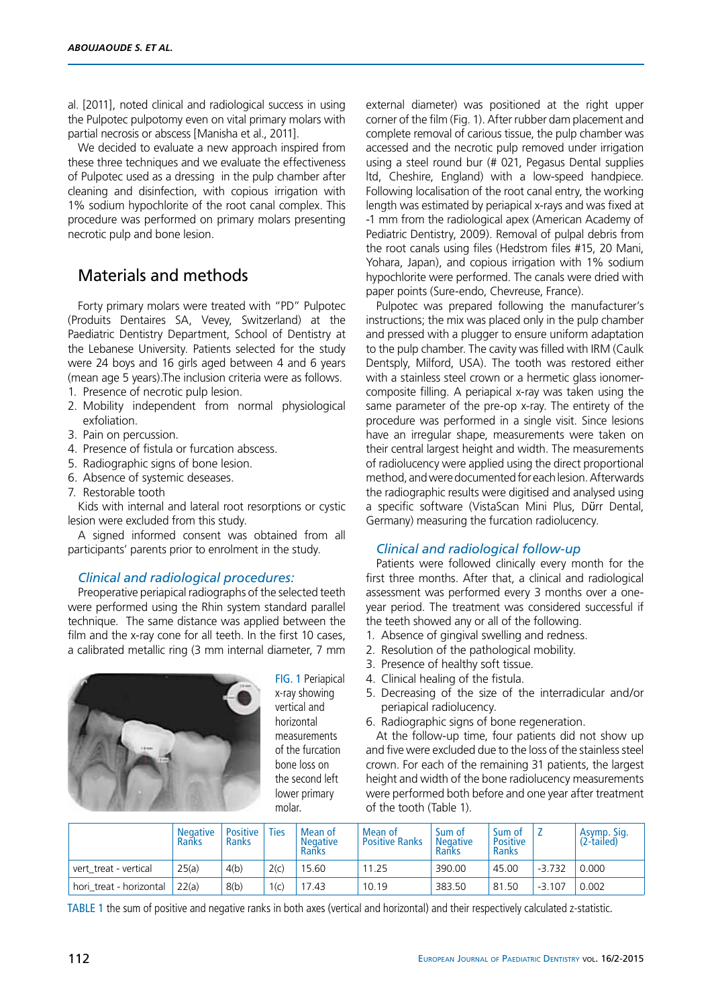al. [2011], noted clinical and radiological success in using the Pulpotec pulpotomy even on vital primary molars with partial necrosis or abscess [Manisha et al., 2011].

We decided to evaluate a new approach inspired from these three techniques and we evaluate the effectiveness of Pulpotec used as a dressing in the pulp chamber after cleaning and disinfection, with copious irrigation with 1% sodium hypochlorite of the root canal complex. This procedure was performed on primary molars presenting necrotic pulp and bone lesion.

# Materials and methods

Forty primary molars were treated with "PD" Pulpotec (Produits Dentaires SA, Vevey, Switzerland) at the Paediatric Dentistry Department, School of Dentistry at the Lebanese University. Patients selected for the study were 24 boys and 16 girls aged between 4 and 6 years (mean age 5 years).The inclusion criteria were as follows.

- 1. Presence of necrotic pulp lesion.
- 2. Mobility independent from normal physiological exfoliation.
- 3. Pain on percussion.
- 4. Presence of fistula or furcation abscess.
- 5. Radiographic signs of bone lesion.
- 6. Absence of systemic deseases.
- 7. Restorable tooth

Kids with internal and lateral root resorptions or cystic lesion were excluded from this study.

A signed informed consent was obtained from all participants' parents prior to enrolment in the study.

#### *Clinical and radiological procedures:*

Preoperative periapical radiographs of the selected teeth were performed using the Rhin system standard parallel technique. The same distance was applied between the film and the x-ray cone for all teeth. In the first 10 cases, a calibrated metallic ring (3 mm internal diameter, 7 mm



FIG. 1 Periapical x-ray showing vertical and horizontal measurements of the furcation bone loss on the second left lower primary molar.

external diameter) was positioned at the right upper corner of the film (Fig. 1). After rubber dam placement and complete removal of carious tissue, the pulp chamber was accessed and the necrotic pulp removed under irrigation using a steel round bur (# 021, Pegasus Dental supplies ltd, Cheshire, England) with a low-speed handpiece. Following localisation of the root canal entry, the working length was estimated by periapical x-rays and was fixed at -1 mm from the radiological apex (American Academy of Pediatric Dentistry, 2009). Removal of pulpal debris from the root canals using files (Hedstrom files #15, 20 Mani, Yohara, Japan), and copious irrigation with 1% sodium hypochlorite were performed. The canals were dried with paper points (Sure-endo, Chevreuse, France).

Pulpotec was prepared following the manufacturer's instructions; the mix was placed only in the pulp chamber and pressed with a plugger to ensure uniform adaptation to the pulp chamber. The cavity was filled with IRM (Caulk Dentsply, Milford, USA). The tooth was restored either with a stainless steel crown or a hermetic glass ionomercomposite filling. A periapical x-ray was taken using the same parameter of the pre-op x-ray. The entirety of the procedure was performed in a single visit. Since lesions have an irregular shape, measurements were taken on their central largest height and width. The measurements of radiolucency were applied using the direct proportional method, and were documented for each lesion. Afterwards the radiographic results were digitised and analysed using a specific software (VistaScan Mini Plus, Dϋrr Dental, Germany) measuring the furcation radiolucency.

#### *Clinical and radiological follow-up*

Patients were followed clinically every month for the first three months. After that, a clinical and radiological assessment was performed every 3 months over a oneyear period. The treatment was considered successful if the teeth showed any or all of the following.

- 1. Absence of gingival swelling and redness.
- 2. Resolution of the pathological mobility.
- 3. Presence of healthy soft tissue.
- 4. Clinical healing of the fistula.
- 5. Decreasing of the size of the interradicular and/or periapical radiolucency.
- 6. Radiographic signs of bone regeneration.

At the follow-up time, four patients did not show up and five were excluded due to the loss of the stainless steel crown. For each of the remaining 31 patients, the largest height and width of the bone radiolucency measurements were performed both before and one year after treatment of the tooth (Table 1).

|                         | <b>Negative</b><br>Ranks | <b>Positive</b><br>Ranks | <b>Ties</b> | Mean of<br><b>Negative</b><br>Ranks | Mean of<br><b>Positive Ranks</b> | Sum of<br><b>Negative</b><br>Ranks | Sum of<br><b>Positive</b><br><b>Ranks</b> |          | Asymp. Sig.<br>$(2$ -tailed) |
|-------------------------|--------------------------|--------------------------|-------------|-------------------------------------|----------------------------------|------------------------------------|-------------------------------------------|----------|------------------------------|
| vert treat - vertical   | 25(a)                    | 4(b)                     | 2(c)        | 15.60                               | 11.25                            | 390.00                             | 45.00                                     | $-3.732$ | 0.000                        |
| hori treat - horizontal | 22(a)                    | 8(b)                     | 1(c)        | 17.43                               | 10.19                            | 383.50                             | 81.50                                     | $-3.107$ | 0.002                        |

tabLE 1 the sum of positive and negative ranks in both axes (vertical and horizontal) and their respectively calculated z-statistic.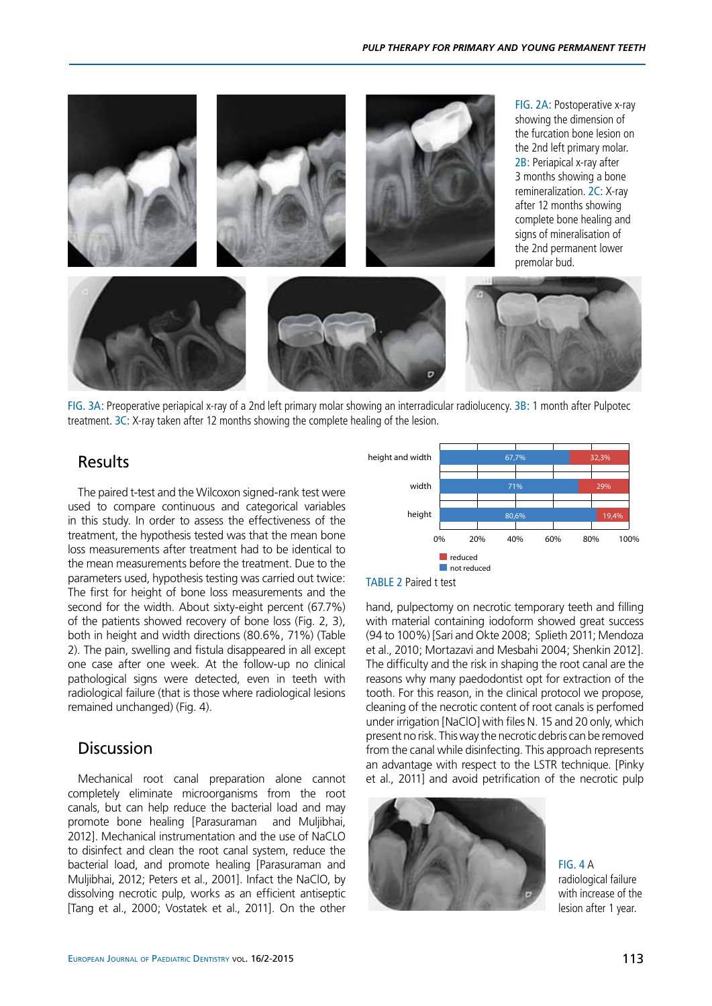

fig. 3a: Preoperative periapical x-ray of a 2nd left primary molar showing an interradicular radiolucency. 3b: 1 month after Pulpotec treatment. 3c: X-ray taken after 12 months showing the complete healing of the lesion.

### Results

The paired t-test and the Wilcoxon signed-rank test were used to compare continuous and categorical variables in this study. In order to assess the effectiveness of the treatment, the hypothesis tested was that the mean bone loss measurements after treatment had to be identical to the mean measurements before the treatment. Due to the parameters used, hypothesis testing was carried out twice: The first for height of bone loss measurements and the second for the width. About sixty-eight percent (67.7%) of the patients showed recovery of bone loss (Fig. 2, 3), both in height and width directions (80.6%, 71%) (Table 2). The pain, swelling and fistula disappeared in all except one case after one week. At the follow-up no clinical pathological signs were detected, even in teeth with radiological failure (that is those where radiological lesions remained unchanged) (Fig. 4).

# Discussion

Mechanical root canal preparation alone cannot completely eliminate microorganisms from the root canals, but can help reduce the bacterial load and may promote bone healing [Parasuraman and Muljibhai, 2012]. Mechanical instrumentation and the use of NaCLO to disinfect and clean the root canal system, reduce the bacterial load, and promote healing [Parasuraman and Muljibhai, 2012; Peters et al., 2001]. Infact the NaClO, by dissolving necrotic pulp, works as an efficient antiseptic [Tang et al., 2000; Vostatek et al., 2011]. On the other





hand, pulpectomy on necrotic temporary teeth and filling with material containing iodoform showed great success (94 to 100%) [Sari and Okte 2008; Splieth 2011; Mendoza et al., 2010; Mortazavi and Mesbahi 2004; Shenkin 2012]. The difficulty and the risk in shaping the root canal are the reasons why many paedodontist opt for extraction of the tooth. For this reason, in the clinical protocol we propose, cleaning of the necrotic content of root canals is perfomed under irrigation [NaClO] with files N. 15 and 20 only, which present no risk. This way the necrotic debris can be removed from the canal while disinfecting. This approach represents an advantage with respect to the LSTR technique. [Pinky et al., 2011] and avoid petrification of the necrotic pulp



 $FIG. 4 A$ radiological failure with increase of the lesion after 1 year.